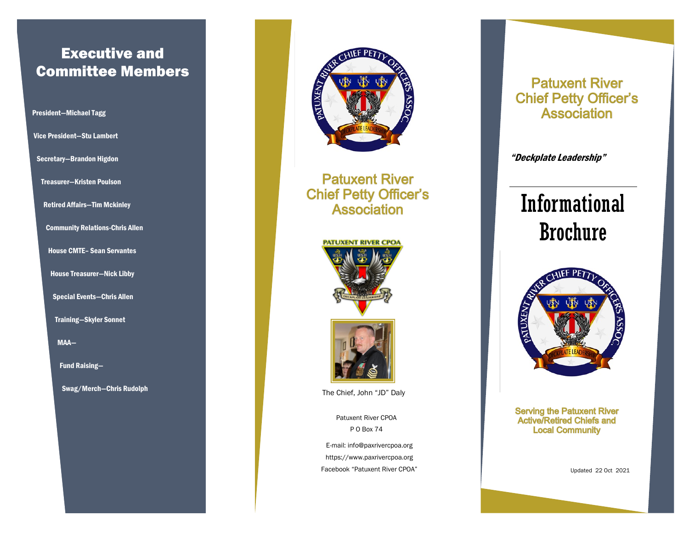## Executive and Committee Members

### President—Michael Tagg Vice President—Stu Lambert

Secretary—Brandon Higdon

Treasurer—Kristen Poulson

Retired Affairs—Tim Mckinley

Community Relations-Chris Allen

House CMTE– Sean Servantes

House Treasurer—Nick Libby

Special Events—Chris Allen

Training—Skyler Sonnet

MAA—

Fund Raising—

Swag/Merch—Chris Rudolph



**Patuxent River Chief Petty Officer's Association** 





The Chief, John "JD" Daly

Patuxent River CPOA P O Box 74

E-mail: info@paxrivercpoa.org https://www.paxrivercpoa.org Facebook "Patuxent River CPOA"

### **Patuxent River Chief Petty Officer's Association**

"Deckplate Leadership"

# Informational Brochure



**Serving the Patuxent River Active/Retired Chiefs and Local Community** 

Updated 22 Oct 2021